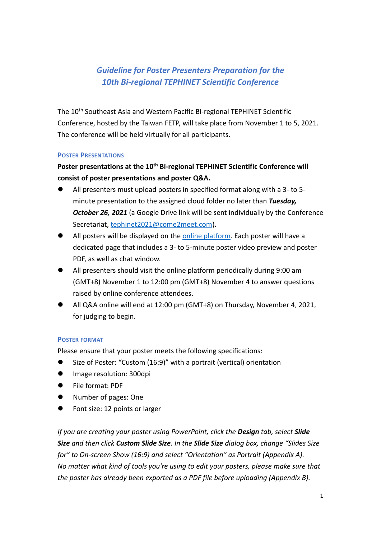## *Guideline for Poster Presenters Preparation for the 10th Bi-regional TEPHINET Scientific Conference*

The 10th Southeast Asia and Western Pacific Bi-regional TEPHINET Scientific Conference, hosted by the Taiwan FETP, will take place from November 1 to 5, 2021. The conference will be held virtually for all participants.

#### **POSTER PRESENTATIONS**

**Poster presentations at the 10th Bi-regional TEPHINET Scientific Conference will consist of poster presentations and poster Q&A.**

- ⚫ All presenters must upload posters in specified format along with a 3- to 5 minute presentation to the assigned cloud folder no later than *Tuesday, October 26, 2021* (a Google Drive link will be sent individually by the Conference Secretariat, [tephinet2021@come2meet.com\)](mailto:tephinet2021@come2meet.com)*.*
- All posters will be displayed on the [online platform.](https://bi-regional2021.aoetek.com/) Each poster will have a dedicated page that includes a 3- to 5-minute poster video preview and poster PDF, as well as chat window.
- ⚫ All presenters should visit the online platform periodically during 9:00 am (GMT+8) November 1 to 12:00 pm (GMT+8) November 4 to answer questions raised by online conference attendees.
- ⚫ All Q&A online will end at 12:00 pm (GMT+8) on Thursday, November 4, 2021, for judging to begin.

#### **POSTER FORMAT**

Please ensure that your poster meets the following specifications:

- ⚫ Size of Poster: "Custom (16:9)" with a portrait (vertical) orientation
- ⚫ Image resolution: 300dpi
- ⚫ File format: PDF
- ⚫ Number of pages: One
- Font size: 12 points or larger

*If you are creating your poster using PowerPoint, click the Design tab, select Slide Size and then click Custom Slide Size. In the Slide Size dialog box, change "Slides Size for" to On-screen Show (16:9) and select "Orientation" as Portrait (Appendix A). No matter what kind of tools you're using to edit your posters, please make sure that the poster has already been exported as a PDF file before uploading (Appendix B).*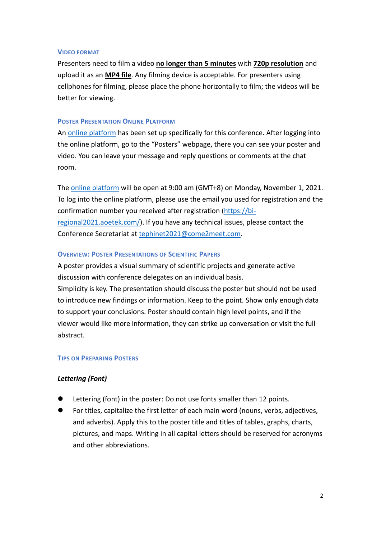#### **VIDEO FORMAT**

Presenters need to film a video **no longer than 5 minutes** with **720p resolution** and upload it as an **MP4 file**. Any filming device is acceptable. For presenters using cellphones for filming, please place the phone horizontally to film; the videos will be better for viewing.

#### **POSTER PRESENTATION ONLINE PLATFORM**

An online [platform](https://bi-regional2021.aoetek.com/) has been set up specifically for this conference. After logging into the online platform, go to the "Posters" webpage, there you can see your poster and video. You can leave your message and reply questions or comments at the chat room.

The [online platform](https://bi-regional2021.aoetek.com/) will be open at 9:00 am (GMT+8) on Monday, November 1, 2021. To log into the online platform, please use the email you used for registration and the confirmation number you received after registration [\(https://bi](https://bi-regional2021.aoetek.com/)[regional2021.aoetek.com/\)](https://bi-regional2021.aoetek.com/). If you have any technical issues, please contact the Conference Secretariat at [tephinet2021@come2meet.com](mailto:tephinet2021@come2meet.com).

## **OVERVIEW: POSTER PRESENTATIONS OF SCIENTIFIC PAPERS**

A poster provides a visual summary of scientific projects and generate active discussion with conference delegates on an individual basis.

Simplicity is key. The presentation should discuss the poster but should not be used to introduce new findings or information. Keep to the point. Show only enough data to support your conclusions. Poster should contain high level points, and if the viewer would like more information, they can strike up conversation or visit the full abstract.

## **TIPS ON PREPARING POSTERS**

## *Lettering (Font)*

- Lettering (font) in the poster: Do not use fonts smaller than 12 points.
- ⚫ For titles, capitalize the first letter of each main word (nouns, verbs, adjectives, and adverbs). Apply this to the poster title and titles of tables, graphs, charts, pictures, and maps. Writing in all capital letters should be reserved for acronyms and other abbreviations.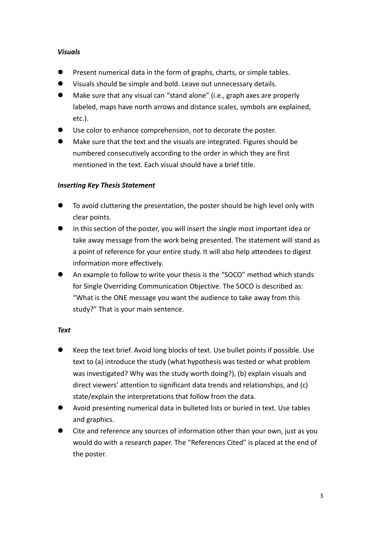## *Visuals*

- ⚫ Present numerical data in the form of graphs, charts, or simple tables.
- ⚫ Visuals should be simple and bold. Leave out unnecessary details.
- ⚫ Make sure that any visual can "stand alone" (i.e., graph axes are properly labeled, maps have north arrows and distance scales, symbols are explained, etc.).
- ⚫ Use color to enhance comprehension, not to decorate the poster.
- ⚫ Make sure that the text and the visuals are integrated. Figures should be numbered consecutively according to the order in which they are first mentioned in the text. Each visual should have a brief title.

## *Inserting Key Thesis Statement*

- ⚫ To avoid cluttering the presentation, the poster should be high level only with clear points.
- ⚫ In this section of the poster, you will insert the single most important idea or take away message from the work being presented. The statement will stand as a point of reference for your entire study. It will also help attendees to digest information more effectively.
- ⚫ An example to follow to write your thesis is the "SOCO" method which stands for Single Overriding Communication Objective. The SOCO is described as: "What is the ONE message you want the audience to take away from this study?" That is your main sentence.

#### *Text*

- ⚫ Keep the text brief. Avoid long blocks of text. Use bullet points if possible. Use text to (a) introduce the study (what hypothesis was tested or what problem was investigated? Why was the study worth doing?), (b) explain visuals and direct viewers' attention to significant data trends and relationships, and (c) state/explain the interpretations that follow from the data.
- ⚫ Avoid presenting numerical data in bulleted lists or buried in text. Use tables and graphics.
- ⚫ Cite and reference any sources of information other than your own, just as you would do with a research paper. The "References Cited" is placed at the end of the poster.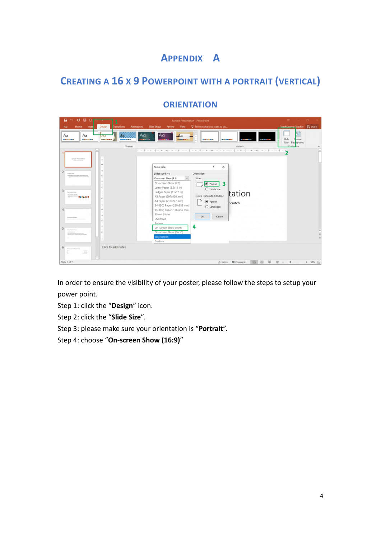# **APPENDIX A**

# **CREATING A 16 X 9 POWERPOINT WITH A PORTRAIT (VERTICAL)**

| 日<br>项<br>σ<br>$\circ$                                                                                                                                                                                                                                                                                                                                                                                                                    | Sample Presentation - PowerPoint                                                                                                                                                                                                                                                                                                                                                                                                                                                                                                                                                                                                    | <b>ED Service</b><br><b>O</b>                                                            |
|-------------------------------------------------------------------------------------------------------------------------------------------------------------------------------------------------------------------------------------------------------------------------------------------------------------------------------------------------------------------------------------------------------------------------------------------|-------------------------------------------------------------------------------------------------------------------------------------------------------------------------------------------------------------------------------------------------------------------------------------------------------------------------------------------------------------------------------------------------------------------------------------------------------------------------------------------------------------------------------------------------------------------------------------------------------------------------------------|------------------------------------------------------------------------------------------|
| Design<br>File<br>Home<br>Inser                                                                                                                                                                                                                                                                                                                                                                                                           | Q Tell me what you want to do<br><b>Slide Show</b><br><b>Animations</b><br><b>Review</b><br>View<br><b>Transitions</b>                                                                                                                                                                                                                                                                                                                                                                                                                                                                                                              | TeachUcomp Teacher Q Share                                                               |
| Aa<br>Aa<br><b>Pid</b><br><b>NORTHERN</b><br><b>PO ME DO 100 ME RE</b><br><b><i>DRINGER COMPANY</i></b><br>$\sim$                                                                                                                                                                                                                                                                                                                         | A <sub>G</sub><br>A <sub>a</sub><br>Aα<br>Ao<br>------<br>------<br><b>WEB RESERVANT</b><br><b>BOOK OF THE WORK</b><br>m.<br><b></b><br><br>Themes<br>Variants                                                                                                                                                                                                                                                                                                                                                                                                                                                                      | $5^{\circ}$<br>Slide<br>Format<br>Size - Bac <mark>eground</mark><br>Customize<br>A<br>⋤ |
| Sangle Presentation<br>$\sim$<br>m<br>$\sim$<br>$\overline{c}$<br><b>Denver Siles</b><br>and the second contract of an extent of<br><b>Inc.</b><br>$\sim$<br>$\sim$<br>3<br>Two Correct Issue<br>E<br>ö<br>$\frac{1}{2}$<br>Δ<br>÷<br>$\overline{\phantom{a}}$<br>Section Header<br>$_{\sim}$<br>÷<br>5<br><b>Read Facebook</b><br>m<br>the company of the company's the<br>÷<br>Click to add notes<br>6<br><b>Engineeri As Teasimumi</b> | $\overline{\phantom{a}}$<br>$\times$<br>Slide Size<br>Slides sized for:<br>Orientation<br>On-screen Show (4:3)<br>$\backsim$<br>Slides<br>On-screen Show (4:3)<br>$\overline{\mathbf{3}}$<br><b>O</b> Portrait<br>Letter Paper (8.5x11 in)<br>$O$ Landscape<br>Ledger Paper (11x17 in)<br>tation<br>Notes, Handouts & Outline<br>A3 Paper (297x420 mm)<br>A4 Paper (210x297 mm)<br>$\odot$ Portrait<br>Scratch<br>B4 (ISO) Paper (250x353 mm)<br>$O$ Landscape<br>B5 (ISO) Paper (176x250 mm)<br>35mm Slides<br>OK<br>Cancel<br>Overhead<br>Banner<br>4<br>On-screen Show (16:9)<br>On-screen Show (16:10)<br>Widescreen<br>Custom. |                                                                                          |
| $\frac{1-\alpha}{\alpha-1}$<br>E<br>$\overline{\phantom{a}}$<br>Slide 1 of 7                                                                                                                                                                                                                                                                                                                                                              | $rac{10}{100}$<br>≟ Notes <b>III</b> Comments<br>回                                                                                                                                                                                                                                                                                                                                                                                                                                                                                                                                                                                  | $+ 58%$ $23$<br>ਦਾ                                                                       |

## **ORIENTATION**

In order to ensure the visibility of your poster, please follow the steps to setup your power point.

- Step 1: click the "**Design**" icon.
- Step 2: click the "**Slide Size**".
- Step 3: please make sure your orientation is "**Portrait**".
- Step 4: choose "**On-screen Show (16:9)**"